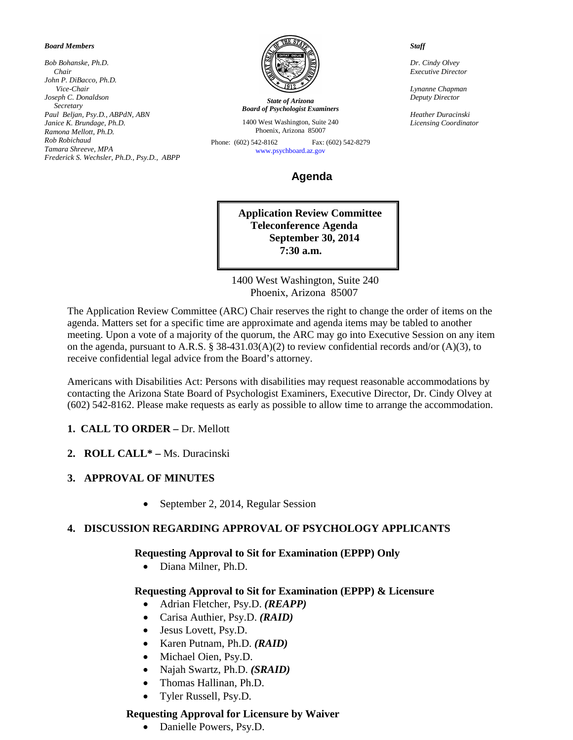#### *Board Members*

*Bob Bohanske, Ph.D. Chair John P. DiBacco, Ph.D. Vice-Chair Joseph C. Donaldson Secretary Paul Beljan, Psy.D., ABPdN, ABN Janice K. Brundage, Ph.D. Ramona Mellott, Ph.D. Rob Robichaud Tamara Shreeve, MPA Frederick S. Wechsler, Ph.D., Psy.D., ABPP*



*State of Arizona Board of Psychologist Examiners*

1400 West Washington, Suite 240 Phoenix, Arizona 85007

Phone: (602) 542-8162 Fax: (602) 542-8279 [www.psychboard.az.gov](http://www.psychboard.az.gov/) 

# **Agenda**

**Application Review Committee Teleconference Agenda September 30, 2014 7:30 a.m.**

 1400 West Washington, Suite 240 Phoenix, Arizona 85007

The Application Review Committee (ARC) Chair reserves the right to change the order of items on the agenda. Matters set for a specific time are approximate and agenda items may be tabled to another meeting. Upon a vote of a majority of the quorum, the ARC may go into Executive Session on any item on the agenda, pursuant to A.R.S. § 38-431.03(A)(2) to review confidential records and/or (A)(3), to receive confidential legal advice from the Board's attorney.

Americans with Disabilities Act: Persons with disabilities may request reasonable accommodations by contacting the Arizona State Board of Psychologist Examiners, Executive Director, Dr. Cindy Olvey at (602) 542-8162. Please make requests as early as possible to allow time to arrange the accommodation.

# **1. CALL TO ORDER –** Dr. Mellott

**2. ROLL CALL\* –** Ms. Duracinski

# **3. APPROVAL OF MINUTES**

• September 2, 2014, Regular Session

### **4. DISCUSSION REGARDING APPROVAL OF PSYCHOLOGY APPLICANTS**

### **Requesting Approval to Sit for Examination (EPPP) Only**

• Diana Milner, Ph.D.

# **Requesting Approval to Sit for Examination (EPPP) & Licensure**

- Adrian Fletcher, Psy.D. *(REAPP)*
- Carisa Authier, Psy.D. *(RAID)*
- Jesus Lovett, Psy.D.
- Karen Putnam, Ph.D. *(RAID)*
- Michael Oien, Psy.D.
- Najah Swartz, Ph.D. *(SRAID)*
- Thomas Hallinan, Ph.D.
- Tyler Russell, Psy.D.

### **Requesting Approval for Licensure by Waiver**

• Danielle Powers, Psy.D.

 *Staff*

 *Dr. Cindy Olvey Executive Director*

 *Lynanne Chapman Deputy Director*

 *Heather Duracinski Licensing Coordinator*